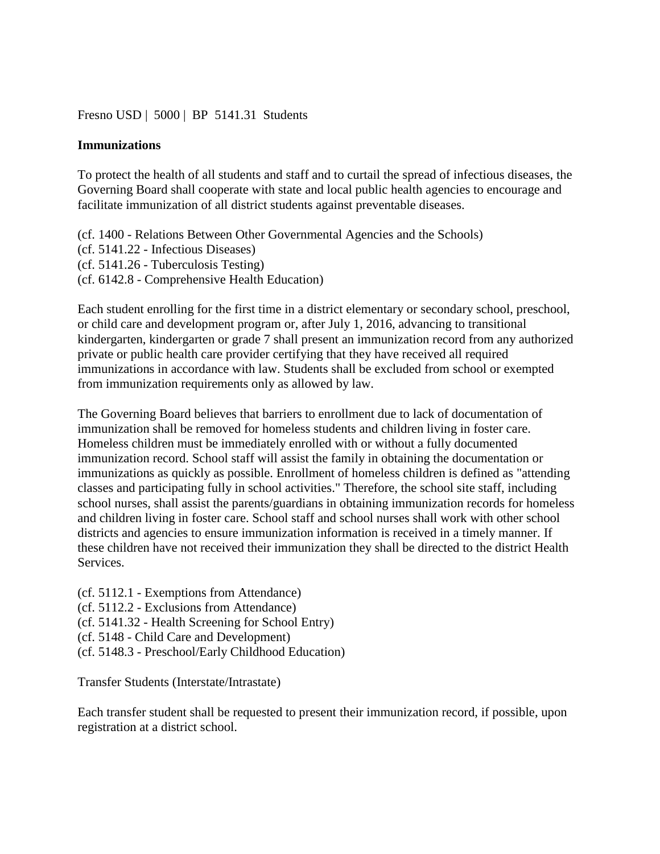## [Fresno USD](http://www.fresnounified.org/board/policies/Policies/fusd/loaddistrictpolicy/1050.htm) | [5000](http://www.fresnounified.org/board/policies/Policies/fusd/policycategorylist/1050/5.htm) | BP 5141.31 Students

## **Immunizations**

To protect the health of all students and staff and to curtail the spread of infectious diseases, the Governing Board shall cooperate with state and local public health agencies to encourage and facilitate immunization of all district students against preventable diseases.

(cf. 1400 - Relations Between Other Governmental Agencies and the Schools) (cf. 5141.22 - Infectious Diseases) (cf. 5141.26 - Tuberculosis Testing) (cf. 6142.8 - Comprehensive Health Education)

Each student enrolling for the first time in a district elementary or secondary school, preschool, or child care and development program or, after July 1, 2016, advancing to transitional kindergarten, kindergarten or grade 7 shall present an immunization record from any authorized private or public health care provider certifying that they have received all required immunizations in accordance with law. Students shall be excluded from school or exempted from immunization requirements only as allowed by law.

The Governing Board believes that barriers to enrollment due to lack of documentation of immunization shall be removed for homeless students and children living in foster care. Homeless children must be immediately enrolled with or without a fully documented immunization record. School staff will assist the family in obtaining the documentation or immunizations as quickly as possible. Enrollment of homeless children is defined as "attending classes and participating fully in school activities." Therefore, the school site staff, including school nurses, shall assist the parents/guardians in obtaining immunization records for homeless and children living in foster care. School staff and school nurses shall work with other school districts and agencies to ensure immunization information is received in a timely manner. If these children have not received their immunization they shall be directed to the district Health Services.

(cf. 5112.1 - Exemptions from Attendance)

(cf. 5112.2 - Exclusions from Attendance)

(cf. 5141.32 - Health Screening for School Entry)

(cf. 5148 - Child Care and Development)

(cf. 5148.3 - Preschool/Early Childhood Education)

Transfer Students (Interstate/Intrastate)

Each transfer student shall be requested to present their immunization record, if possible, upon registration at a district school.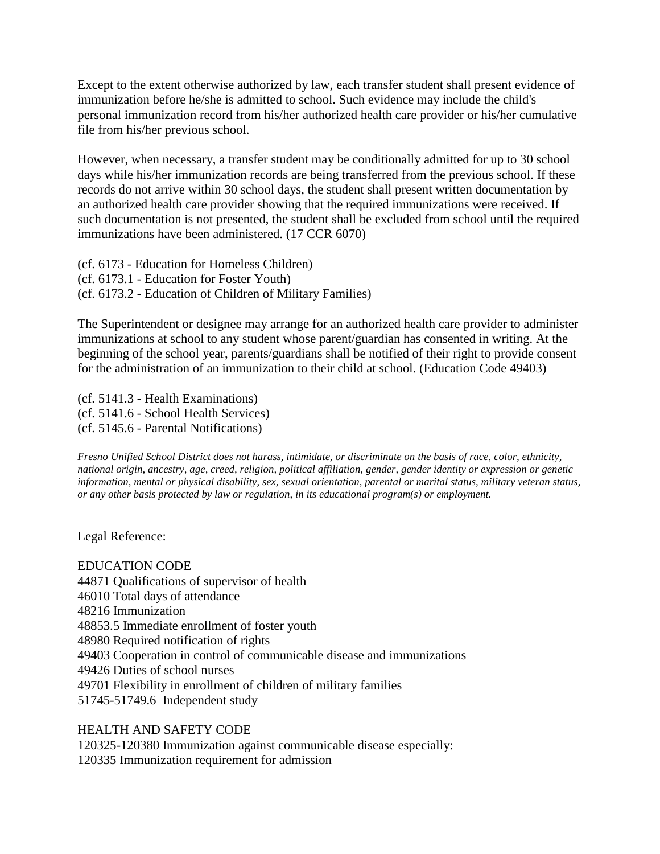Except to the extent otherwise authorized by law, each transfer student shall present evidence of immunization before he/she is admitted to school. Such evidence may include the child's personal immunization record from his/her authorized health care provider or his/her cumulative file from his/her previous school.

However, when necessary, a transfer student may be conditionally admitted for up to 30 school days while his/her immunization records are being transferred from the previous school. If these records do not arrive within 30 school days, the student shall present written documentation by an authorized health care provider showing that the required immunizations were received. If such documentation is not presented, the student shall be excluded from school until the required immunizations have been administered. (17 CCR 6070)

(cf. 6173 - Education for Homeless Children) (cf. 6173.1 - Education for Foster Youth) (cf. 6173.2 - Education of Children of Military Families)

The Superintendent or designee may arrange for an authorized health care provider to administer immunizations at school to any student whose parent/guardian has consented in writing. At the beginning of the school year, parents/guardians shall be notified of their right to provide consent for the administration of an immunization to their child at school. (Education Code 49403)

(cf. 5141.3 - Health Examinations) (cf. 5141.6 - School Health Services) (cf. 5145.6 - Parental Notifications)

*Fresno Unified School District does not harass, intimidate, or discriminate on the basis of race, color, ethnicity, national origin, ancestry, age, creed, religion, political affiliation, gender, gender identity or expression or genetic information, mental or physical disability, sex, sexual orientation, parental or marital status, military veteran status, or any other basis protected by law or regulation, in its educational program(s) or employment.*

Legal Reference:

EDUCATION CODE 44871 Qualifications of supervisor of health 46010 Total days of attendance 48216 Immunization 48853.5 Immediate enrollment of foster youth 48980 Required notification of rights 49403 Cooperation in control of communicable disease and immunizations 49426 Duties of school nurses 49701 Flexibility in enrollment of children of military families 51745-51749.6 Independent study

## HEALTH AND SAFETY CODE

120325-120380 Immunization against communicable disease especially: 120335 Immunization requirement for admission